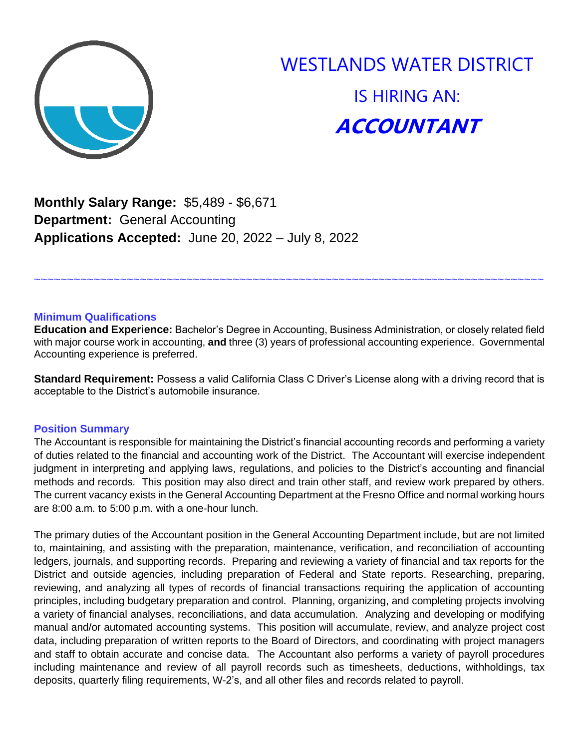

# WESTLANDS WATER DISTRICT IS HIRING AN: **ACCOUNTANT**

**Monthly Salary Range:** \$5,489 - \$6,671 **Department:** General Accounting **Applications Accepted:** June 20, 2022 – July 8, 2022

## **Minimum Qualifications**

**Education and Experience:** Bachelor's Degree in Accounting, Business Administration, or closely related field with major course work in accounting, **and** three (3) years of professional accounting experience. Governmental Accounting experience is preferred.

~~~~~~~~~~~~~~~~~~~~~~~~~~~~~~~~~~~~~~~~~~~~~~~~~~~~~~~~~~~~~~~~~~~~~~~~~~~~~

**Standard Requirement:** Possess a valid California Class C Driver's License along with a driving record that is acceptable to the District's automobile insurance.

## **Position Summary**

The Accountant is responsible for maintaining the District's financial accounting records and performing a variety of duties related to the financial and accounting work of the District. The Accountant will exercise independent judgment in interpreting and applying laws, regulations, and policies to the District's accounting and financial methods and records. This position may also direct and train other staff, and review work prepared by others. The current vacancy exists in the General Accounting Department at the Fresno Office and normal working hours are 8:00 a.m. to 5:00 p.m. with a one-hour lunch.

The primary duties of the Accountant position in the General Accounting Department include, but are not limited to, maintaining, and assisting with the preparation, maintenance, verification, and reconciliation of accounting ledgers, journals, and supporting records. Preparing and reviewing a variety of financial and tax reports for the District and outside agencies, including preparation of Federal and State reports. Researching, preparing, reviewing, and analyzing all types of records of financial transactions requiring the application of accounting principles, including budgetary preparation and control. Planning, organizing, and completing projects involving a variety of financial analyses, reconciliations, and data accumulation. Analyzing and developing or modifying manual and/or automated accounting systems. This position will accumulate, review, and analyze project cost data, including preparation of written reports to the Board of Directors, and coordinating with project managers and staff to obtain accurate and concise data. The Accountant also performs a variety of payroll procedures including maintenance and review of all payroll records such as timesheets, deductions, withholdings, tax deposits, quarterly filing requirements, W-2's, and all other files and records related to payroll.